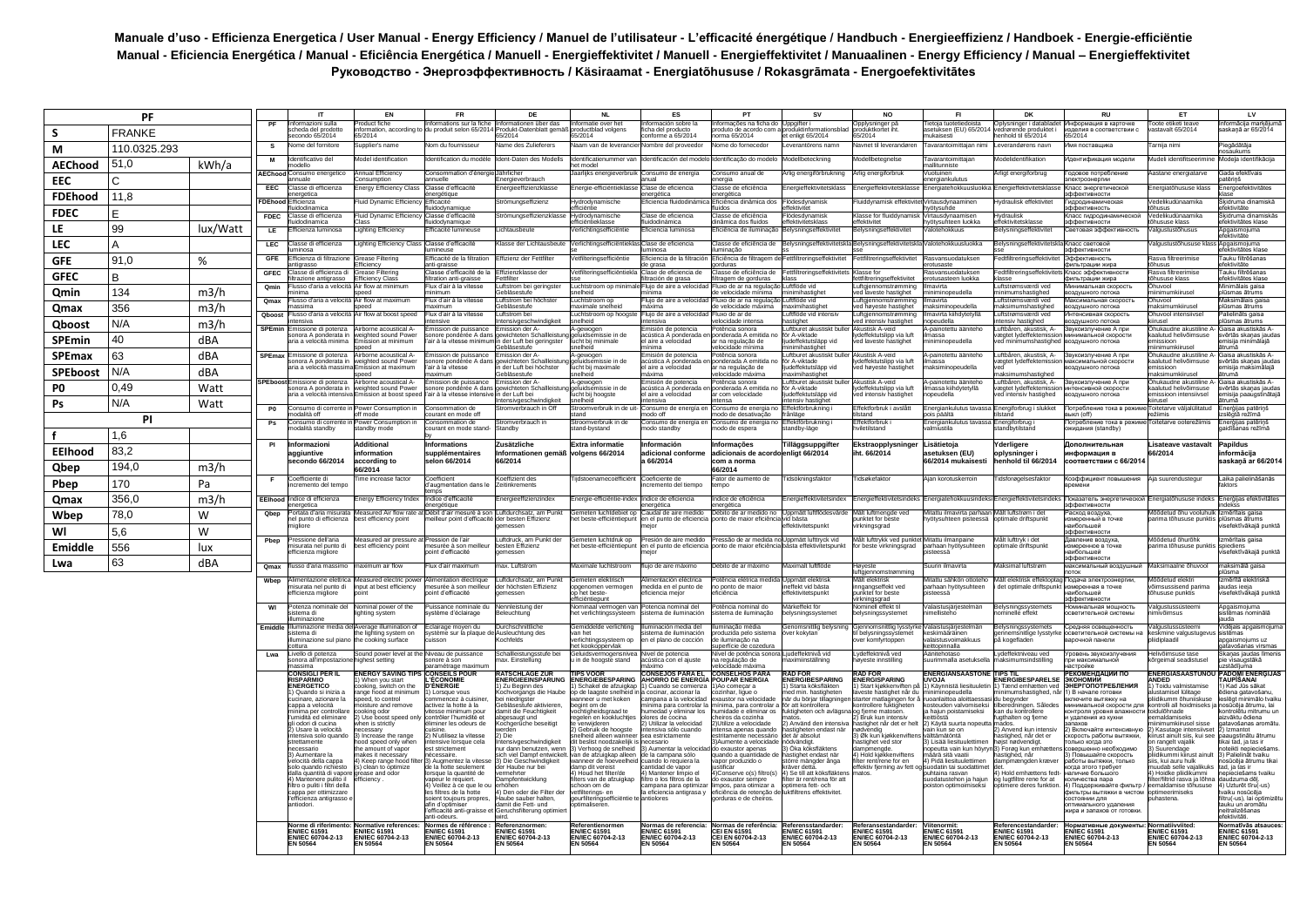## **Manuale d'uso - Efficienza Energetica / User Manual - Energy Efficiency / Manuel de l'utilisateur - L'efficacité énergétique / Handbuch - Energieeffizienz / Handboek - Energie-efficiëntie**  Manual - Eficiencia Energética / Manual - Eficiência Energética / Manuell - Energieffektivitet / Manuell - Energieffektivitet / Manuaalinen - Energy Efficiency / Manual – Energieffektivitet **Руководство - Энергоэффективность / Käsiraamat - Energiatõhususe / Rokasgrāmata - Energoefektivitātes**

|                 | <b>PF</b>     |          |                          | IT                                                                           | EN                                                          | <b>FR</b>                                                          | DE                                                               | <b>NL</b>                                                                                                           | ES                                                                    | PT                                                                          | <b>SV</b>                                                                    | <b>NO</b>                                                          | FI.                                                                    | DK                                                                     | <b>RU</b>                                                                          | ET                                                                   | LV                                                               |
|-----------------|---------------|----------|--------------------------|------------------------------------------------------------------------------|-------------------------------------------------------------|--------------------------------------------------------------------|------------------------------------------------------------------|---------------------------------------------------------------------------------------------------------------------|-----------------------------------------------------------------------|-----------------------------------------------------------------------------|------------------------------------------------------------------------------|--------------------------------------------------------------------|------------------------------------------------------------------------|------------------------------------------------------------------------|------------------------------------------------------------------------------------|----------------------------------------------------------------------|------------------------------------------------------------------|
| s               | <b>FRANKE</b> |          |                          | ormazioni sulla<br>heda del prodotto<br>condo 65/2014                        | oduct fiche<br>ormation, according<br>5/2014                | ormations sur la fiche<br>produit selon 65/201                     | formationen über das<br>odukt-Datenblatt gemä<br>5/2014          | ormatie over het<br>oductblad volgens<br>5/2014                                                                     | ormación sobre la<br>ha del producto<br>onforme a 65/2014             | ormacões na ficha do<br>oduto de acordo con<br>ma 65/2014                   | duktinformation<br>t enligt 65/2014                                          | pplysninger på<br>oduktkortet iht<br>5/2014                        | etoja tuotetied<br>stuksen (EU) 65/201<br>ukaisesti                    | lysninger i datablade<br>ørende produktet<br>enhold til 65/2014        | нформация в карточке<br>делия в соответствии с<br>5/2014                           | oote etiketi tear<br>stavalt 65/2014                                 | lormācija markēju<br>skaņā ar 65/2014                            |
| M               | 110.0325.293  |          | s                        | ome del fornitore                                                            | upplier's name                                              | om du fournisseur                                                  | ame des Zulieferers                                              | aam van de leveranci                                                                                                | mbre del proveedo                                                     | ome do fornecedor                                                           | verantörens namn                                                             | avnet til leverandører                                             | avarantoimittajan nim                                                  | werandørens navr                                                       | ия поставщика                                                                      | arnija nimi                                                          | iegādātāja<br>säukums                                            |
| <b>AEChood</b>  | 51,0          | kWh/a    |                          | entificativo de                                                              | odel identificatio                                          | ntification du mod                                                 | ent-Daten des Mode                                               | ntificatienumme<br>t model                                                                                          |                                                                       | ntificação do mode                                                          | ellbeteckning                                                                | dellbetegnels                                                      | avarantoimittaja<br><b>Illitunniste</b>                                | delidentifikatio                                                       | нтификация модел                                                                   | deli identifitseerim                                                 | odeļa identifikācija                                             |
| <b>EEC</b>      | C             |          | <b>AEChood</b>           | Consumo energetica<br>uale                                                   | Annual Efficiency<br>onsumption                             | consommation d'énergie<br>ماامرر                                   | <b>Jährlicher</b><br>ergieverbrauch                              | aarlijks energieverbruik                                                                                            | Consumo de eneraía                                                    | consumo anual de<br>rgia                                                    | lia eneraiförbruknina                                                        | rlia eneraiforbruk                                                 | uotuinen<br>ergiankulutus                                              | rligt energiforbrug                                                    | одовое потреблени<br>ктроэнерги                                                    | astane energiatarve                                                  | Gada efektīvais<br>tērinš                                        |
| <b>FDEhood</b>  | 11,8          |          | EEC                      | lasse di efficienza<br>metica                                                | nergy Efficiency Clas                                       | lasse d'efficacit<br>aining                                        | hergieeffizienzklass                                             | ergie-efficiëntiek                                                                                                  | lase de eficiencia<br>roética                                         | lasse de eficiência<br>ergética                                             | ergieffektivitetskla                                                         | ergieffektivitetskl                                                | ergiatehokkuus                                                         | hergieffektivitets                                                     | пасс энергетическо<br>ффективности                                                 | ergiatõhususe klas                                                   | nergoefektivitätes                                               |
|                 | F             |          | <b>FDEho</b>             | fficienza<br>uidodinamica                                                    | uid Dynamic Efficie                                         | ficacité<br>dodvnamigue                                            | römungseffizienz                                                 | lydrodynamisch<br>fficiëntie                                                                                        | ficiencia fluidodin                                                   | ficiência dinâmica do<br>dos                                                | ödesdynamisk<br>fektivitet                                                   | uiddynamisk effek                                                  | irtausdynaamin<br>ötysuhde                                             | vdraulisk effektivi                                                    | пролинамическа<br>Фективность                                                      | edelikudünaamika<br>usus                                             | sidruma dinamiskā<br>stivitäte                                   |
| <b>FDEC</b>     |               |          | <b>FDEC</b>              | lasse di efficienza<br>dodinamica                                            | luid Dvnamic Efficien                                       | lasse d'efficacité                                                 | römungseffizienzklass                                            | vdrodynamische<br>iciëntieklasse                                                                                    | lase de eficiencia<br>idodinámica                                     | asse de eficiência<br>nâmica dos fluidos                                    | ödesdvnamisk<br>ektivitetsklas                                               | lasse for fluiddynami:<br>fektivitet                               | 'irtausdynaamisen<br>ötvsuhteen luokka                                 | /draulisk<br>fektivitetsklass                                          | пасс гидродинамической                                                             | edelikudünaamika<br><b>ususe klass</b>                               | kidruma dinamiskās<br>ektivitätes klase                          |
| LE              | 99            | lux/Watt | LE                       | ficienza luminosa                                                            | ighting Efficiency                                          | ficacité lumineus                                                  | chtausbeut                                                       | erlichtingsefficiënti                                                                                               | iciencia luminosa                                                     | iciência de iluminaçã                                                       | lysningseffektivite                                                          | elysningseffektivite                                               | otehokkuus                                                             | <b>alysningseffektiv</b>                                               | етовая эффективность                                                               | lgustustõhusus                                                       | ogaismojuma<br>ktivitāte                                         |
| <b>LEC</b>      | А             |          | LEC                      | lasse di efficienza<br>hinosa                                                | ighting Efficiency Clas                                     | lasse d'efficacité<br>fficacité de la filtration                   | asse der Lichtausbeut                                            | erlichtingsefficiënt                                                                                                | lase de eficiencia<br>inosa                                           | asse de eficiência de<br>ıminacão<br>iciência de filtragem c                | ysningseffektiv                                                              | elysningseffektivi                                                 | alotehokkuusluokka                                                     | elysningseffekt                                                        | пасс световой<br>ффективности                                                      | gustustõhususe klas                                                  | naismojums<br>ektivitātes klase<br>auku filtrēšanas              |
| <b>GFF</b>      | 91,0          | %        | <b>GFE</b><br><b>GFE</b> | ficienza di filtrazione<br>arassa<br>asse di efficienza o                    | irease Filtering<br>ficiency<br>rease Filterin              | ti-graisse<br>lasse d'efficacité de                                | fizienz der Fettfilte<br>fizienzklasse de                        | tfilterinasefficiëntie<br>etfilteringsefficiën                                                                      | ficiencia de la filtració<br>e grasa<br>lase de eficiencia            | rduras<br>asse de eficiência de                                             | tfiltrerinaseffektivite<br>ttfiltreringseffektivit                           | ettfiltreringseffektivite<br>asse fo                               | asvansuodatuksen<br>otusaste<br>asvansuodatukse                        | edtfiltreringseffekt<br>edtfiltreringseffek                            | Эффективность<br>льтрации жира<br>асс эффективност                                 | asva filtreerimise<br><b>USUS</b><br>sva filtreerimis                | ektivitāte<br>auku filtrēšanas                                   |
| <b>GFEC</b>     | В             |          | Omir                     | trazione antigrasso<br>lusso d'aria a velocità.                              | fficiency Class<br>Air flow at minimum                      | Itration anti-graisse<br>Flux d'air à la vitesse                   | ttfilter<br>ıftstrom bei gerina                                  | uchtstroom op minin                                                                                                 | tración de grasa<br>Flujo de aire a velocid                           | tragem de gorduras<br>Fluxo de ar na regulaçã                               | uftflöde vid                                                                 | filtreringseffektivitet<br>iftgjennomstrømming                     | otusasteen luokka<br>navirta                                           | isse<br>uftstrømsværdi ved                                             | комж мицвотым<br>нимальная скорость                                                | iususe klass<br>huvool                                               | ektivitātes klase<br>inimālais gaisa                             |
| Qmin            | 134           | m3/h     | Omax                     | ıima<br>usso d'aria a velocità Air flow at maximum                           | ed                                                          | nimum<br>lux d'air à la vitesse                                    | ebläsestufe<br>ftstrom bei höchste                               | elheid<br>uchtstroom op                                                                                             | luio de aire a velocid                                                | velocidade mínima<br>luxo de ar na regulaçã                                 | nimihastighe<br>uftflöde vid                                                 | I laveste hastighet                                                | iminopeudella<br>navirta                                               | inimumshastighed<br>uftstrømsværdi ved                                 | здушного потока<br>аксимальная скорость                                            | imumkiiruse<br>huvool                                                | ismas ātrums<br>aksimālais gaisa                                 |
| Qmax            | 356           | m3/h     | Qboos                    | ecima<br>usso d'aria a velocità                                              | Air flow at boost spee                                      | ivimum<br>lux d'air à la vitesse                                   | ebläsestufe<br><b>iftstrom</b> bei                               | aximale snelheir<br>uchtstroom op hoogs                                                                             | áxima<br>lujo de aire a velo                                          | velocidade máxima<br>uxo de ar de                                           | aximihastiohe<br>uftflöde vid intens                                         | uftgjennomstrømming<br>⊧d høyeste hastighet<br>ftgjennomstrømming  | iaksiminopeudella<br>navirta kiihdytetyllä                             | aksimumshastighed<br>uftstrømsværdi ved                                | злушного потока<br>генсивная скорость                                              | aksimumkiiruse<br>uvool intensiivse                                  | <b>Ismas Atrums</b><br>alielināts gaisa                          |
| <b>Qboost</b>   | N/A           | m3/h     | SPEmin                   | nsiva<br>missione di potenza                                                 | rborne acoustical A                                         | nsive<br>nission de puissance                                      | 'ensivaeschwindiakei'<br>nission der A-                          | elheid<br>-gewogen<br>eluidsemissie in de                                                                           | nsiva<br>nisión de potencia                                           | ocidade intensa<br>tência sonora                                            | astighet<br>uftburet akustiskt bul                                           | d intensiv hastighet<br>kustisk A-veid                             | ppeudella<br>-painotettu ääniteh                                       | tensiv hastighed<br>uftbåren, akustisk, A-                             | здушного потока<br>звукоизлучение А при                                            | usel<br>hukaudne akustiline                                          | ismas ātrums<br>aisa akustiskās A                                |
| <b>SPEmin</b>   | 40            | dBA      |                          | nora A ponderata i<br>ia a velocità minima                                   | sighted sound Powe<br>iission at minimum<br>hoe             | onore pondérée A dar<br>air à la vitesse minim                     | ichteten Schallleist<br>der Luft bei geringste<br>ehläsestufe    | ucht bij minimale                                                                                                   | istica A ponderada<br>l aire a velocidad                              | nderada A emitida n<br>r na regulação de<br>locidade mínima                 | r A-viktade<br>deffektutsläpp vid<br>nimihastighet                           | deffektutslipp via luft<br>d laveste hastighet                     | iassa<br>iniminopeudella                                               | egtet lydeffektemissio<br>ed minimumshastigheo                         | имальной скорости<br>оздушного потока                                              | llutud helivõimsuse<br>iissioon<br><b>imumkiiruse</b>                | ērtās skaņas jaudas<br>nisiia minimäläiä<br>ruma                 |
| <b>SPEmax</b>   | 63            | dBA      | <b>SPEmax</b>            | missione di potenza<br>ynora A nonderata in                                  | rborne acoustical A<br>sighted sound Powe                   | ission de puissance<br>onore pondérée A da                         | nission der A<br>wichteten Schallleisti                          | ∙gewogen<br>eluidsemissie in de                                                                                     | nisión de potencia<br>tústica A nonderada.                            | tência sonora<br>onderada A emitida n                                       | tburet akustiskt b<br>r A-viktade                                            | ustisk A-veid<br>deffektutslinn via luft                           | painotettu ääniteh<br>nassa                                            | uftbåren, akustisk, A-<br>eatet Ivdeffektemissio                       | зукоизлучение А при<br>іксимальной скорости                                        | ukaudne akustiline<br>alutud helivõimsuse                            | aisa akustiskās A-<br>vērtās skanas iauda:                       |
| <b>SPEboost</b> | N/A           | dBA      |                          | ia a velocità massi                                                          | sion at maximum<br>hoe                                      | air à la vitesse<br>vimum                                          | der Luft bei höchste<br>ebläsestufe                              | ucht bij maximale<br>higdle                                                                                         | aire a velocidad<br>áxima                                             | na regulação de<br>locidade máxima                                          | effektutsläpp vid<br>ximihastighet                                           | d høyeste hastighet                                                | aksiminopeudella                                                       | aksimumshastighed                                                      | здушного потока                                                                    | ssioon<br>ksimumkiiruse                                              | nisija maksimālajā<br>rumā                                       |
| P0              | 0,49          | Watt     |                          | missione di notenza<br>onora A ponderata in                                  | rhome acoustical A<br>sighted sound Power                   | ission de puissanc<br>onore pondérée A dan                         | nission der A<br>wichteten Schall                                | -gewogen<br>eluidsemissie in de                                                                                     | nisión de notencia<br>cústica A ponderada                             | atência sonora<br>onderada A emitida n                                      | ftburet akustiskt bu<br>r A-viktade                                          | ustisk A-veid<br>deffektutslipp via luft                           | nainotettu ääniteh<br>nassa kiihdytetyllä                              | uftbåren, akustisk, A-<br>aegtet lydeffektemissi                       | икоизпучение А при<br>генсивной скорости                                           | ukaudne akustiline<br>alutud helivõimsuse                            | aisa akustiskās A-<br>ērtās skaņas jauda:                        |
| Ps              | N/A           | Watt     |                          | ia a velocità intens                                                         | ssion at boost spe                                          | air à la vitesse intensi                                           | der Luft bei<br>ensivgeschwindigkeit                             | ucht bij hoogste                                                                                                    | aire a velocidad<br>ensiva                                            | com velocidade<br>nsa                                                       | leffektutslänn vid<br>ensiv hastighet                                        | d intensiv hastighet                                               | peudella                                                               | d intensiv hastighed                                                   | здушного потока                                                                    | issioon intensiivsel                                                 | nisija paaugstinātajā                                            |
|                 | PI            |          | P <sub>0</sub>           | consumo di corrente<br>odalità off<br>onsumo di corre                        | ower Consumption<br>ff mode<br>ower Consumption             | onsommation de<br>ourant en mode off<br>onsommation de             | 'omverbrauch in Of<br>romverbrauch i                             | roomverbruik in de<br>and<br>roomverbruik                                                                           | onsumo de eneraía<br>odo off<br>onsumo de energía                     | onsumo de energia n<br>odo de desativação<br>onsumo de energia r            | fektförbrukning<br>rånläge<br>fektförbrukning                                | fektforbruk i avslåt<br>stand<br>ffektforbruk                      | hergiankulutus tav<br>is päältä                                        | :nergiforbrug i slukket<br>stand<br>nergiforbrug                       | отребление тока в режи<br>$\overline{c}$ n $\overline{c}$<br>отребление тока в ре: | pitetarve välialülitatu<br>itetarve ooterežiir                       | nerģijas patērins<br>slēgtā režīmā                               |
| f               | 1,6           |          |                          | odalità standby                                                              | tandby mode                                                 | burant en mode stand                                               | andby                                                            | tand-bystand                                                                                                        | odo standby                                                           | odo de espera                                                               | tandby-läge                                                                  | <i>r</i> iletilstand                                               | nergiankulutus t<br>almiustila                                         | andbytilstand                                                          | жидания (standby)                                                                  |                                                                      | nerģijas patēriņš<br>aidīšanas režīmā                            |
| <b>EEIhood</b>  | 83,2          |          | PI                       | Informazioni<br>aggiuntive                                                   | <b>Additional</b><br>information                            | nformations<br>supplémentaires                                     | Zusätzliche<br>nformationen gemäß                                | Extra informatie<br>volgens 66/2014                                                                                 | nformación<br>dicional conforr                                        | nformações<br>dicionais de acord                                            | <b>Tilläggsuppgifter</b><br>enligt 66/2014                                   | Ekstraopplysninge<br>t. 66/2014                                    | _isätietoja<br>setuksen (EU)                                           | Yderligere<br>oplysninger                                              | Іополнительная<br>нформация в                                                      | Lisateave vastavalt<br>6/2014                                        | Papildus<br>nformācija                                           |
| Qbep            | 194.0         | m3/h     |                          | econdo 66/2014                                                               | according to                                                | elon 66/2014                                                       | 66/2014                                                          |                                                                                                                     | a 66/2014                                                             | com a norma                                                                 |                                                                              |                                                                    | 6/2014 mukaisest                                                       | enhold til 66/2014                                                     | соответствии с 66/201                                                              |                                                                      | askaņā ar 66/2014                                                |
|                 |               |          |                          | cefficiente di                                                               | 6/2014<br>me increase factor                                | oefficient                                                         | oeffizient des                                                   | idstoenamecoëfficiënt                                                                                               | Coeficiente de                                                        | 6/2014<br>ator de aumento de                                                | dsökningsfaktor                                                              | dsøkefaktor                                                        | ian korotuskerroin                                                     | dsforøgelsesfaktor                                                     | Соэффициент повышения                                                              | ia suurendustegur                                                    | Laika palielināšanās                                             |
| Pbep            | 170           | Pa       |                          | remento del tempo                                                            |                                                             | augmentation dans l<br>dice d'efficacité                           | itinkrements                                                     |                                                                                                                     | remento del tiempo                                                    | hpc                                                                         |                                                                              |                                                                    |                                                                        |                                                                        |                                                                                    |                                                                      |                                                                  |
| <b>Qmax</b>     | 356,0         | m3/h     | EElhoo<br>Qbep           | ndice di efficienza<br>ortata d'aria misurata                                | ergy Efficiency Index<br>asured Air flow rate a             | raétique<br>Débit d'air mesuré à so                                | ergieeffizienzindex<br>iftdurchsatz, am Punk                     | ergie-efficientie-inde<br>emeten luchtdebiet op                                                                     | ndice de eficiencia<br>audal de aire medido                           | dice de eficiência<br>ergética<br>ébito de ar medido no                     | ergieffektivitetsinde<br>Jppmätt luftf                                       | ergieffektivitetsinde<br>ålt luftmengde ved                        | ergiatehokkuusinde<br>tattu ilmavirta parha                            | ergieffektivitets<br>ålt luftstrøm i de                                | оказатель энергетическо<br>офективности<br>асход воздуха                           | ergiatõhususe indek<br>õdetud õhu vooluhu                            | erģijas efektivitātes<br><b>KSS</b><br>mērītais gaisa            |
| Wbep            | 78.0          | W        |                          | el punto di efficienza<br>gliore                                             | st efficiency point                                         | eilleur point d'efficaci                                           | er besten Effizienz<br>eessen                                    | t beste-efficiëntiepur                                                                                              | n el punto de eficiend                                                | onto de maior eficiênc                                                      | rid hästa<br>ktivitetspunk                                                   | inktet for beste<br>kningsgrad                                     | ötysuhteen pisteessä                                                   | otimale driftspunk                                                     |                                                                                    | ima tõhususe punkti                                                  | iemae āfrume<br>efektīvākajā punktā                              |
| WI              | 5.6           | W        | Pbep                     | ressione dell'aria                                                           | leasured air pressure a                                     | ression de l'air                                                   | uftdruck, am Punkt der<br>esten Effizienz                        | iemeten luchtdruk op                                                                                                | Presión de aire medido<br>en el punto de eficiencia                   | ressão de ar medida no                                                      | Uppmätt lufttryck vid<br>båsta effektivitetspunk                             | lålt lufttrykk ved punkte                                          | Mitattu ilmanpaine                                                     | lâlt lufttryk i det                                                    | ффективности<br>вление воздуха,                                                    | lőődetud öhuröhk                                                     | mērītais gaisa                                                   |
| Emiddle         | 556           | lux      |                          | isurata nel punto di<br>icienza migliore                                     | est efficiency point                                        | nesurée à son meiller<br>bint d'efficacité                         | messen                                                           | et beste-efficiëntiepun                                                                                             |                                                                       | oonto de maior eficiênci                                                    |                                                                              | r beste virkningsgrad                                              | xarhaan hyötysuhteer<br>š2299t:                                        | ptimale driftspunk                                                     | меренное в точке<br>ибольшей<br>ффективности                                       | arima tõhususe punkti                                                | viediens<br>efektīvākajā punkta                                  |
| Lwa             | 63            | dBA      | Omax                     | sso d'aria massimo                                                           | aximum air flow                                             | ux d'air maximum                                                   | ax. Luftstrom                                                    | uximale luchtstroom                                                                                                 | uio de aire máximo                                                    | ébito de ar máximo                                                          | aximalt luftflöde                                                            | øveste<br>tgjennomstrømming                                        | uurin ilmavirta                                                        | aksimal luftstrøm                                                      | аксимальный воздушны                                                               | aksimaalne õhuvool                                                   | aksimālā gaisa                                                   |
|                 |               |          | Wben                     | mentazione elettric<br>isurata nel punto di                                  | asured electric pow<br>nnut at best efficiency              | nentation électriqu<br>esurée à son meilleu                        | iftdurchsatz, am Punk<br>er höchsten Effizienz                   | meten elektrisch<br>idenomen vermoger                                                                               | nentación eléctrica<br>edida en el punto de                           | ência elétrica medi<br>o ponto de maior                                     | ppmätt elektris<br>effekt vid hästa                                          | ålt elektrisk<br>ingangseffekt ved                                 | tattu sähkön ottotel<br>arhaan hvötvsuhteer                            | alt elektrisk effektopta<br>det optimale driftspun                     | одача электроэнергии<br><b>меренная в точке</b>                                    | õdetud elektr<br>msussisend narima                                   | nērītā elektriska<br>udas ieeia                                  |
|                 |               |          |                          | icienza migliore                                                             |                                                             | int d'efficacité                                                   | lessen                                                           | het beste-<br>iciëntienunt                                                                                          | iencia meior                                                          | ciência                                                                     | ivitetspunk                                                                  | inktet for beste<br>kningsgrad                                     | teessä                                                                 |                                                                        | ибольшей<br>ффективности                                                           | ususe punktis                                                        | sefektīvākajā punktā                                             |
|                 |               |          | WI                       | otenza nominale de<br>stema di<br>minazione                                  | ominal power of the<br>phting system                        | uissance nominale d<br>stème d'éclairage                           | nleistuna de<br>leuchtung                                        | ominaal vermogen va<br>et verlichtingssysteem                                                                       | otencia nominal de<br>tema de iluminación                             | otência nominal do<br>tema de iluminação                                    | ärkeffekt för<br>alysningssysteme                                            | ominell effekt til<br>elysningssystemet                            | alaistusjärjestelmä<br>nellisteho                                      | alysningssysteme<br>ominelle effekt                                    | <b>МИНАПЬНАЯ МОШНОСТЬ</b><br>зветительной системы                                  | ılaustussüsteer<br>ivõimsus                                          | pgaismojuma<br>istēmas nominālā<br>ıda                           |
|                 |               |          | Emiddl                   | luminazione media c<br>stema di                                              | verage illumination of<br>ie lighting system on             | clairage moyen du<br>stème sur la plaque                           | urchschnittliche<br>usleuchtung des                              | emiddelde verlichting<br>an het                                                                                     | iminación media del<br>stema de iluminación                           | minacão média<br>oduzida pelo sistem                                        | enomsnittlig belvsn<br>/er kokvtan                                           | jennomsnittlig lyssty<br>belysningssystemet                        | alaistusiäriestelmä<br>eskimääräinen                                   | elysningssystemets<br>ınnemsnitlige lysstvrk                           | релняя освещенность<br>светительной системы на                                     | Inustussüsteemi<br>kmine valgustugev                                 | idējais apgaismojun<br>stēmas                                    |
|                 |               |          |                          | minazione sul pia<br>ttura                                                   | e cooking surface                                           | son                                                                | chfelds                                                          | inichtingssysteem op<br>et kookoppervlak                                                                            | el plano de cocción                                                   | i iluminacão na<br>perfície de cozedura                                     |                                                                              | er komfyrtoppen                                                    | laistusvoimakkuus<br>ittopinnalla                                      | s kogefladen                                                           | рочной панели                                                                      | diplaadil                                                            | gaismoiums uz<br>avošanas virsmas                                |
|                 |               |          | Lwa                      | Livello di potenza<br>xnora all'impostazio<br>issima                         | Sound power level at the<br>ghest setting                   | liveau de puissance<br>nore à son<br>ramétrage maximu              | challleistungsstufe bei<br>ax. Einstellung                       | ieluidsvermogensnive<br>n de hoogste stand                                                                          | ivel de potencia<br>ústica con el ajuste<br>áximo                     | ível de potência sonora<br>ı regulação de<br>ocidade máxima                 | iudeffektnivå vid<br>ıximiinställning                                        | vdeffektnivå ved<br>yeste innstilling                              | anitehotaso<br>urimmalla asetuksel                                     | vdeffektniveau ved<br>aksimumsindstilling                              | ровень звукоизлучения<br>и максимальной<br>стройке                                 | livõimsuse tase<br>geimal seadistusel                                | kanas iaudas līmenis<br>e visaúostākā<br>stādījuma               |
|                 |               |          |                          | :Onsigli Per Il<br><b>ISPARMIO</b>                                           | <b>NERGY SAVING TIP</b><br>When you star                    | <b>ONSEILS POUR</b><br><b>ECONOMIE</b>                             | <b>ATSCHLÄGE ZUR</b><br>ENERGIEEINSPARUNG                        | PS VOO<br>NERGIEBESPARING                                                                                           | <b>ONSEJOS PARA EL</b><br><b>HORRO DE ENERGÍA</b>                     | <b>ONSELHOS PARA</b><br><b>OUPAR ENERGIA</b>                                | AN FÖ<br>ENERGIBESPARING                                                     | <b>AD FOR</b><br>NERGISPARING                                      | <b>NERGIANSÄÄSTÖI</b><br><b>JVOJA</b>                                  | <b>NERGIBESPARELSE</b>                                                 | ЕКОМЕНЛАЦИИ ПО<br><b>KOHOM!</b>                                                    | NERGIASĂĂSTUNOU<br><b>NDED</b>                                       | <b>PADOMI ENERGIJAS</b><br>AUPĪŠANAI                             |
|                 |               |          |                          | <b>INERGETICO</b><br>Quando si inizia a                                      | oking, switch on the<br>ange hood at minimum                | <b>'ÉNERGIE</b><br>Lorsque vous                                    | 7u Beginn des<br>chvorgangs die Haub                             | Schakel de afzuiokar<br>de laagste snelheid                                                                         | Cuando se comienza<br>cocinar, accionar la                            | l) Ao comecar a<br>zinhar, ligue o                                          | Starta köksfläkten<br>.<br>ned min. hastigheten<br>าär du börjar tillagninge | Start kiøkkenviften n<br>este hastighet når d                      | Käynnistä liesituulet<br>himinopeudella                                | ) Tænd emhætten ved<br>mumshastighed, ná                               | ЭНЕРГОПОТРЕБЛЕНИЯ<br>В начале готовки                                              | Toidu valmistamise<br>tamisel lülitage                               | Kad Jūs sākat<br>,<br>diena gatavošanu,<br>slēgt minimālo tvaikı |
|                 |               |          |                          | icinare, azionare la<br>appa a velocità<br>inima per controllare             | eed, to control<br>bisture and remove<br>ooking odor        | nmencez à cuisiner<br>tivez la hotte à la<br>tesse minimum nour    | i niedriaster<br>ebläsestufe aktivieren<br>smit die Feuchtigkeit | anneer û met koken.<br>gint om de<br>ochtigheidsgraad te                                                            | ampana a la velocida<br>ima para controlar l<br>umedad v eliminar los | austor na velocidade<br>nima, para controlar<br>midade e eliminar os        | r att kontrollera<br>uktioheten och avlägs                                   | arter matlagingen for<br>ntrollere fuktigheten                     | uoanlaittoa aloittaes<br>steuden valvomiseksi<br>a haiun noistamiseksi | I beavnder<br>redningen. Sålede<br>an du kontrollere                   | лючите вытяжку на<br>имальной скорости дл<br><b>IFTDO THE RHACCIS</b>              | iidikumm õhuniiskus:<br>trolli all hoidmiseks<br>abendõlubic         | sūcēja ātrumu, lai<br>ıntrolêtu mitrumu un                       |
|                 |               |          |                          | umidità ed eliminare<br>i odori di cucina                                    | Use boost speed only<br>hen is strictly                     | ontrôler l'humidité et<br>iminer les odeurs de                     | gesaugt und<br>ochaerűche beseitia                               | jelen en kookluchtjes<br>verwijderen                                                                                | ores de cocina<br>Utilizar la velocidad                               | eiros da cozinha<br>Utilize a velocidade                                    | Använd den intensiv                                                          | g fjerne matosen.<br>I Bruk kun intensiv<br>astighet når det er he | ittiöetä<br>Käytä suurta nopeutta                                      | gthalten og fjerne<br>ados.                                            | даления из кухни<br>пахов                                                          | naldamiseks<br>nimumkiirusel sisse                                   | zvāktu ēdiena<br>itavošanas aromāti                              |
|                 |               |          |                          | Usare la velocità<br>tensiva solo quando<br>rettamente                       | cessary<br>Increase the range                               | N'utilisez la vitesse                                              | Die<br>ensivaeschwindiakeit                                      | Gebruik de hoogste<br>alheid alleen wannee<br>beslist noodzakelijk                                                  | nsiva sólo cuando<br>ea estrictamente                                 | ensa apenas quando<br>stritamente necessário<br>Aumente a velocidade        | stigheten endast när<br>det är absolut.<br>idvändigt.                        | dvendig<br>Øk kun kiøkkenvifte                                     | ain kun se on<br>älttämätöntä<br>Lisää liesituulettim                  | Anvend kun intensiv<br>istighed, når det er<br>ist nødvendigt.         | Включайте интенсивнук<br>орость работы вытяжки                                     | Kasutage intensiivse<br>irust ainult siis. kui see                   | Izmantot<br>aauostinātu ātrumu                                   |
|                 |               |          |                          | ecessario<br>Aumentare Is                                                    | od speed only when<br>e amount of vapor<br>akes it necessar | ensive lorsque cela<br>st strictement<br>essaire.                  | ur dann benutzen. weni<br>h viel Dampf entwicke                  | Verhoog de snelheid                                                                                                 | cesario<br>Aumentar la velocid<br>a la campana sólo                   | do exaustor apenas<br>ando a quantidade de                                  | Öka köksfläktens<br>astighet endast när                                      | stighet ved stor<br>momenade.<br>Hold kjøkkenviftens               | ppeutta vain kun hövrv<br>äärä sitä vaatii                             | Forøg kun emhætt<br>stighed, når                                       | лько когда это<br>эвершенно необходимо<br>Повышайте скорость                       | rangelt vajalik<br>Suurendage<br>idikummi kiirust ainult             | kai tad, ja tas ir<br>teikti nepieciešam<br>Palielinät tvaiku    |
|                 |               |          |                          | ilocità della cappa<br>olo quando richiesto                                  | Keep range hood fil<br>clean to optimize                    | Augmentez la vites<br>e la hotte seulement                         | Die Geschwindigkeit<br>r Haube nur bei                           | ,<br>an de afzuigkap alleen<br>anneer de hoeveelheid<br>annoor as nooree<br>amp dit vereist<br>) Houd het filter/de | cuando lo requiera la<br>antidad de vapor                             | apor produzido o<br>stificar                                                | större mängder ånga<br>räver detta                                           | er rent/rene for en<br>fektiv fjerning av fett                     | Pidä liesituulettimer<br>iodatin tai suodattime                        | mpmængden kræver                                                       | аботы вытяжки, только<br>ида этого требует                                         | is. kui auru hulk<br>uudab selle vaialikuk:                          | osūcēja ātrumu tika<br>ad, ja tas ir                             |
|                 |               |          |                          | alla quantità di vapor<br>Mantenere pulito il<br>tro o puliti i filtri della | rease and odor<br>fficiency                                 | orsque la quantité de<br>peur le réquiert<br>Veillez à ce que le c | mehrter<br>mpfentwicklung<br>höhen                               | ers van de afzuigkap<br>choon om de                                                                                 | Mantener limpio e<br>ro o los filtros de la<br>ampana para optimiza   | Conserve o(s) filtro(s)<br>p exaustor sempre<br>mpos, para otimizar a       | ) Se till att köksfläkter<br>ter är rent/rena för att<br>potimera fett- och  | atos.                                                              | vuhtaina rasvan<br>uodatustehon ja hajur<br>piston optimoimiseksi      | Hold emhættens fed<br>Jugtfiltre rene for at<br>ptimere deres funktion | аличие большого<br>нчества пара<br>Поддерживайте фильтр                            | Hoidke pliidikummi<br>r/filtrid rasva ia lõhr<br>emaldamise tõhususe | pieciešams tvaiku<br>udzuma dēl.<br>Uzturēt tīru(-us)            |
|                 |               |          |                          | cappa per ottimizzare<br>'efficienza antigrasso                              |                                                             | s filtres de la hotte<br>ient toujours propre                      | Den oder die Filter de<br>aube sauber halten.                    | enoen om de<br>etfilterings- en<br>eurfilteringsefficiëntie te                                                      | a eficiencia antigrasa<br>antiolores                                  | ficiência de retenção de luktfiltrens effektivitet<br>orduras e de cheíros. |                                                                              |                                                                    |                                                                        |                                                                        | -<br>Фильтры вытяжки в чистом                                                      | otimeerimiseks<br>hastena.                                           | ,<br>/aiku nosūcēja<br>ltru(-us), lai optimizēt                  |
|                 |               |          |                          | tiodori.                                                                     |                                                             | in d'ontimiser<br>efficacité anti-oraisse<br>zuebo-it              | mit die Fett- und<br>eruchsfilterung optim                       | timaliseren                                                                                                         |                                                                       |                                                                             |                                                                              |                                                                    |                                                                        |                                                                        | тимального удаления<br>ира и запахов от готовки                                    |                                                                      | auku un aromātu<br>itralizēšanas<br>ektivitāti                   |
|                 |               |          |                          | rme di riferime<br><b>EN/IEC 61591</b>                                       | mative reference<br><b>N/IEC 61591</b>                      | rmes de ré<br><b>N/IEC 61591</b>                                   | <b>EN/IEC 61591</b>                                              | <b>N/IEC 61591</b>                                                                                                  | mas de referencia<br><b>EN/IEC 61591</b>                              | rmas de referência<br>CEI EN 61591                                          | <b>EN/IEC 61591</b>                                                          | N/IEC 61591                                                        | <b>EN/IEC 61591</b>                                                    | <b>EN/IEC 61591</b>                                                    | ые докуме<br>N/IEC 61591                                                           | lormatiivviited<br><b>EN/IEC 61591</b>                               | rmatīvās atsauce<br>N/IEC 61591                                  |
|                 |               |          |                          | N/IEC 60704-2-13<br>EN 50564                                                 | EN/IEC 60704-2-13<br>EN 50564                               | EN/IEC 60704-2-13<br>EN 50564                                      | EN/IEC 60704-2-13<br>EN 50564                                    | EN/IEC 60704-2-13<br>EN 50564                                                                                       | EN/IEC 60704-2-13<br>EN 50564                                         | CEI EN 60704-2-13<br>EN 50564                                               | EN/IEC 60704-2-13<br>EN 50564                                                | EN/IEC 60704-2-13<br>EN 50564                                      | EN/IEC 60704-2-13<br>EN 50564                                          | EN/IEC 60704-2-13<br>EN 50564                                          | EN/IEC 60704-2-13<br>N 50564                                                       | N/IEC 60704-2-13<br>EN 50564                                         | N/IEC 60704-2-13<br>EN 50564                                     |